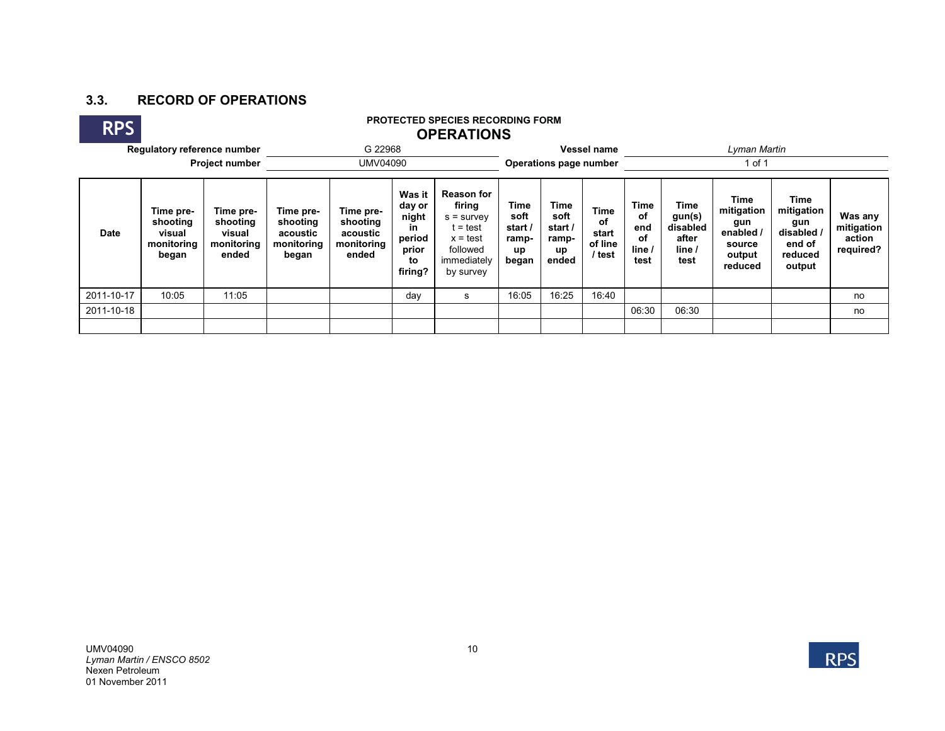## **3.3. RECORD OF OPERATIONS**

 $\overline{a}$ 

| <b>RPS</b>  | <b>PROTECTED SPECIES RECORDING FORM</b><br><b>OPERATIONS</b> |                                                        |                                                          |                                                          |                                                                     |                                                                                                              |                                                 |                                                 |                                          |                                                  |                                                              |                                                                     |                                                                        |                                              |  |  |
|-------------|--------------------------------------------------------------|--------------------------------------------------------|----------------------------------------------------------|----------------------------------------------------------|---------------------------------------------------------------------|--------------------------------------------------------------------------------------------------------------|-------------------------------------------------|-------------------------------------------------|------------------------------------------|--------------------------------------------------|--------------------------------------------------------------|---------------------------------------------------------------------|------------------------------------------------------------------------|----------------------------------------------|--|--|
|             | Regulatory reference number                                  |                                                        | G 22968                                                  |                                                          |                                                                     |                                                                                                              |                                                 | Vessel name                                     |                                          |                                                  | Lyman Martin                                                 |                                                                     |                                                                        |                                              |  |  |
|             |                                                              | <b>Project number</b>                                  | UMV04090                                                 |                                                          |                                                                     |                                                                                                              |                                                 | Operations page number                          |                                          |                                                  | 1 of 1                                                       |                                                                     |                                                                        |                                              |  |  |
| <b>Date</b> | Time pre-<br>shooting<br>visual<br>monitoring<br>began       | Time pre-<br>shooting<br>visual<br>monitoring<br>ended | Time pre-<br>shooting<br>acoustic<br>monitoring<br>began | Time pre-<br>shooting<br>acoustic<br>monitoring<br>ended | Was it<br>day or<br>night<br>in<br>period<br>prior<br>to<br>firing? | <b>Reason for</b><br>firing<br>$s =$ survey<br>∶= test<br>$x = test$<br>followed<br>immediately<br>by survey | Time<br>soft<br>start /<br>ramp-<br>up<br>began | Time<br>soft<br>start /<br>ramp-<br>up<br>ended | Time<br>of<br>start<br>of line<br>/ test | <b>Time</b><br>оf<br>end<br>οf<br>line /<br>test | <b>Time</b><br>gun(s)<br>disabled<br>after<br>line /<br>test | Time<br>mitigation<br>gun<br>enabled<br>source<br>output<br>reduced | Time<br>mitigation<br>gun<br>disabled /<br>end of<br>reduced<br>output | Was any<br>mitigation<br>action<br>required? |  |  |
| 2011-10-17  | 10:05                                                        | 11:05                                                  |                                                          |                                                          | day                                                                 | s                                                                                                            | 16:05                                           | 16:25                                           | 16:40                                    |                                                  |                                                              |                                                                     |                                                                        | no                                           |  |  |
| 2011-10-18  |                                                              |                                                        |                                                          |                                                          |                                                                     |                                                                                                              |                                                 |                                                 |                                          | 06:30                                            | 06:30                                                        |                                                                     |                                                                        | no                                           |  |  |
|             |                                                              |                                                        |                                                          |                                                          |                                                                     |                                                                                                              |                                                 |                                                 |                                          |                                                  |                                                              |                                                                     |                                                                        |                                              |  |  |